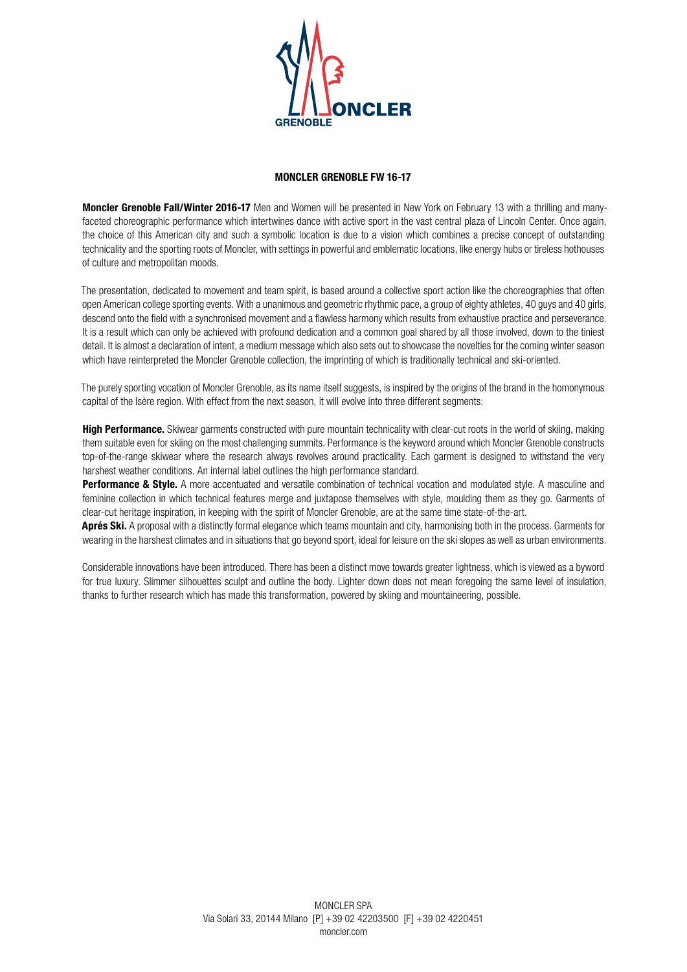

## **MONCLER GRENOBLE FW 16-17**

**Moncler Grenoble Fall/Winter 2016-17** Men and Women will be presented in New York on February 13 with a thrilling and manyfaceted choreographic performance which intertwines dance with active sport in the vast central plaza of Lincoln Center. Once again, the choice of this American city and such a symbolic location is due to a vision which combines a precise concept of outstanding technicality and the sporting roots of Moncler, with settings in powerful and emblematic locations, like energy hubs or tireless hothouses of culture and metropolitan moods.

The presentation, dedicated to movement and team spirit, is based around a collective sport action like the choreographies that often open American college sporting events. With a unanimous and geometric rhythmic pace, a group of eighty athletes, 40 guys and 40 girls, descend onto the field with a synchronised movement and a flawless harmony which results from exhaustive practice and perseverance. It is a result which can only be achieved with profound dedication and a common goal shared by all those involved, down to the tiniest detail. It is almost a declaration of intent, a medium message which also sets out to showcase the novelties for the coming winter season which have reinterpreted the Moncler Grenoble collection, the imprinting of which is traditionally technical and ski-oriented.

The purely sporting vocation of Moncler Grenoble, as its name itself suggests, is inspired by the origins of the brand in the homonymous capital of the Isère region. With effect from the next season, it will evolve into three different segments:

**High Performance.** Skiwear garments constructed with pure mountain technicality with clear-cut roots in the world of skiing, making them suitable even for skiing on the most challenging summits. Performance is the keyword around which Moncler Grenoble constructs top-of-the-range skiwear where the research always revolves around practicality. Each garment is designed to withstand the very harshest weather conditions. An internal label outlines the high performance standard.

Performance & Style. A more accentuated and versatile combination of technical vocation and modulated style. A masculine and feminine collection in which technical features merge and juxtapose themselves with style, moulding them as they go. Garments of clear-cut heritage inspiration, in keeping with the spirit of Moncler Grenoble, are at the same time state-of-the-art.

**Aprés Ski.** A proposal with a distinctly formal elegance which teams mountain and city, harmonising both in the process. Garments for wearing in the harshest climates and in situations that go beyond sport, ideal for leisure on the ski slopes as well as urban environments.

Considerable innovations have been introduced. There has been a distinct move towards greater lightness, which is viewed as a byword for true luxury. Slimmer silhouettes sculpt and outline the body. Lighter down does not mean foregoing the same level of insulation, thanks to further research which has made this transformation, powered by skiing and mountaineering, possible.